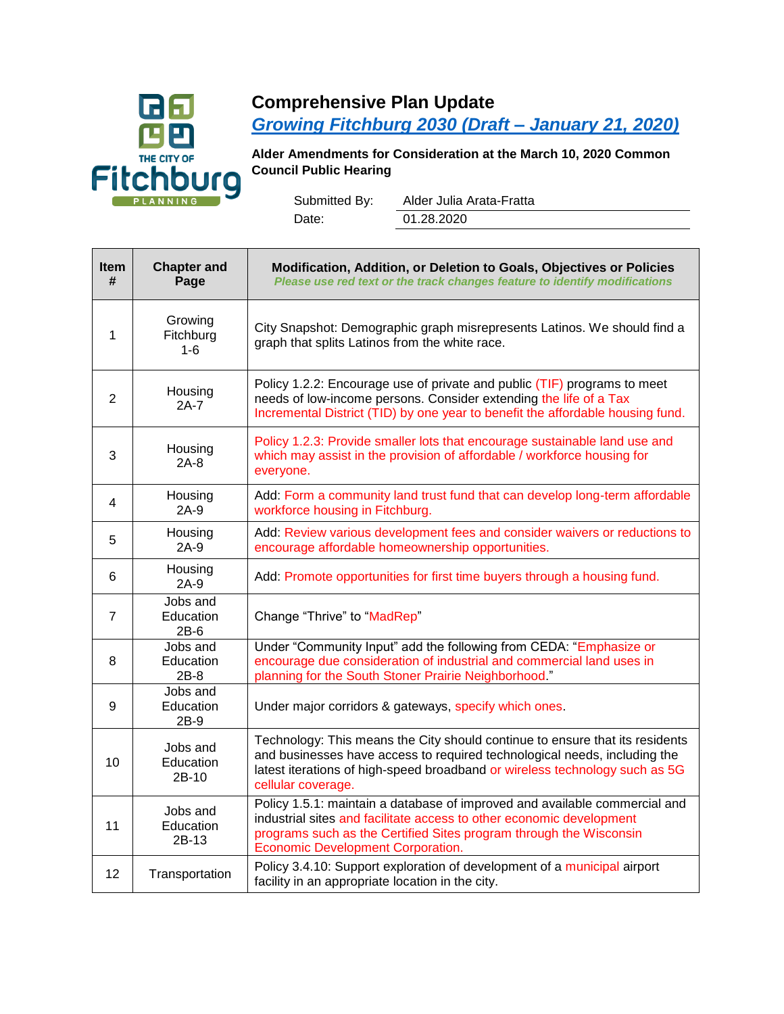

**The Common** 

## **Comprehensive Plan Update**

## *[Growing Fitchburg 2030 \(Draft –](https://www.fitchburgwi.gov/DocumentCenter/View/19939/Comp-Plan-Update-Draft-1-21-2020?bidId=) January 21, 2020)*

**Alder Amendments for Consideration at the March 10, 2020 Common Council Public Hearing**

Date: 01.28.2020

Submitted By: Alder Julia Arata-Fratta

٦

| <b>Item</b><br># | <b>Chapter and</b><br>Page      | Modification, Addition, or Deletion to Goals, Objectives or Policies<br>Please use red text or the track changes feature to identify modifications                                                                                                                   |
|------------------|---------------------------------|----------------------------------------------------------------------------------------------------------------------------------------------------------------------------------------------------------------------------------------------------------------------|
| 1                | Growing<br>Fitchburg<br>$1-6$   | City Snapshot: Demographic graph misrepresents Latinos. We should find a<br>graph that splits Latinos from the white race.                                                                                                                                           |
| 2                | Housing<br>$2A-7$               | Policy 1.2.2: Encourage use of private and public (TIF) programs to meet<br>needs of low-income persons. Consider extending the life of a Tax<br>Incremental District (TID) by one year to benefit the affordable housing fund.                                      |
| 3                | Housing<br>$2A-8$               | Policy 1.2.3: Provide smaller lots that encourage sustainable land use and<br>which may assist in the provision of affordable / workforce housing for<br>everyone.                                                                                                   |
| 4                | Housing<br>$2A-9$               | Add: Form a community land trust fund that can develop long-term affordable<br>workforce housing in Fitchburg.                                                                                                                                                       |
| 5                | Housing<br>$2A-9$               | Add: Review various development fees and consider waivers or reductions to<br>encourage affordable homeownership opportunities.                                                                                                                                      |
| 6                | Housing<br>$2A-9$               | Add: Promote opportunities for first time buyers through a housing fund.                                                                                                                                                                                             |
| 7                | Jobs and<br>Education<br>$2B-6$ | Change "Thrive" to "MadRep"                                                                                                                                                                                                                                          |
| 8                | Jobs and<br>Education<br>$2B-8$ | Under "Community Input" add the following from CEDA: "Emphasize or<br>encourage due consideration of industrial and commercial land uses in<br>planning for the South Stoner Prairie Neighborhood."                                                                  |
| 9                | Jobs and<br>Education<br>2B-9   | Under major corridors & gateways, specify which ones.                                                                                                                                                                                                                |
| 10               | Jobs and<br>Education<br>2B-10  | Technology: This means the City should continue to ensure that its residents<br>and businesses have access to required technological needs, including the<br>latest iterations of high-speed broadband or wireless technology such as 5G<br>cellular coverage.       |
| 11               | Jobs and<br>Education<br>2B-13  | Policy 1.5.1: maintain a database of improved and available commercial and<br>industrial sites and facilitate access to other economic development<br>programs such as the Certified Sites program through the Wisconsin<br><b>Economic Development Corporation.</b> |
| 12               | Transportation                  | Policy 3.4.10: Support exploration of development of a municipal airport<br>facility in an appropriate location in the city.                                                                                                                                         |